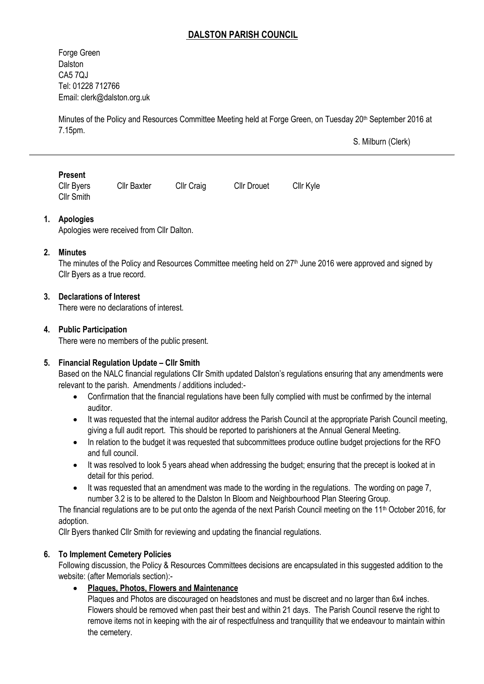# **DALSTON PARISH COUNCIL**

Forge Green **Dalston** CA5 7QJ Tel: 01228 712766 Email[: clerk@dalston.org.uk](mailto:clerk@dalston.org.uk)

Minutes of the Policy and Resources Committee Meeting held at Forge Green, on Tuesday 20<sup>th</sup> September 2016 at 7.15pm.

S. Milburn (Clerk)

### **Present**

Cllr Byers Cllr Baxter Cllr Craig Cllr Drouet Cllr Kyle Cllr Smith

### **1. Apologies**

Apologies were received from Cllr Dalton.

#### **2. Minutes**

The minutes of the Policy and Resources Committee meeting held on 27<sup>th</sup> June 2016 were approved and signed by Cllr Byers as a true record.

### **3. Declarations of Interest**

There were no declarations of interest.

### **4. Public Participation**

There were no members of the public present.

#### **5. Financial Regulation Update – Cllr Smith**

Based on the NALC financial regulations Cllr Smith updated Dalston's regulations ensuring that any amendments were relevant to the parish. Amendments / additions included:-

- Confirmation that the financial regulations have been fully complied with must be confirmed by the internal auditor.
- It was requested that the internal auditor address the Parish Council at the appropriate Parish Council meeting, giving a full audit report. This should be reported to parishioners at the Annual General Meeting.
- In relation to the budget it was requested that subcommittees produce outline budget projections for the RFO and full council.
- It was resolved to look 5 years ahead when addressing the budget; ensuring that the precept is looked at in detail for this period.
- It was requested that an amendment was made to the wording in the regulations. The wording on page 7, number 3.2 is to be altered to the Dalston In Bloom and Neighbourhood Plan Steering Group.

The financial regulations are to be put onto the agenda of the next Parish Council meeting on the 11<sup>th</sup> October 2016, for adoption.

Cllr Byers thanked Cllr Smith for reviewing and updating the financial regulations.

#### **6. To Implement Cemetery Policies**

Following discussion, the Policy & Resources Committees decisions are encapsulated in this suggested addition to the website: (after Memorials section):-

**Plaques, Photos, Flowers and Maintenance**

Plaques and Photos are discouraged on headstones and must be discreet and no larger than 6x4 inches. Flowers should be removed when past their best and within 21 days. The Parish Council reserve the right to remove items not in keeping with the air of respectfulness and tranquillity that we endeavour to maintain within the cemetery.